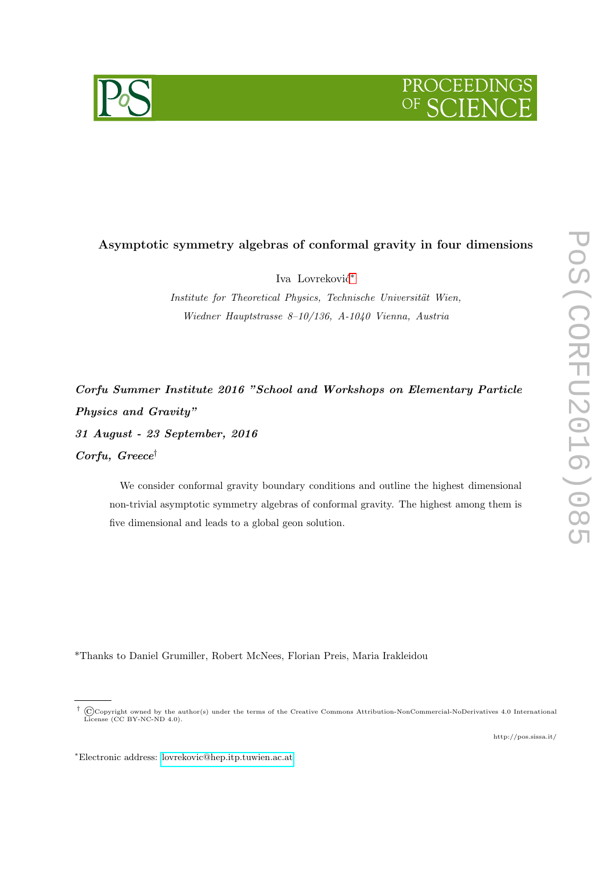



# Asymptotic symmetry algebras of conformal gravity in four dimensions

Iva Lovreković<sup>\*</sup>

Institute for Theoretical Physics, Technische Universität Wien, Wiedner Hauptstrasse 8–10/136, A-1040 Vienna, Austria

Corfu Summer Institute 2016 "School and Workshops on Elementary Particle Physics and Gravity" 31 August - 23 September, 2016 Corfu, Greece†

We consider conformal gravity boundary conditions and outline the highest dimensional non-trivial asymptotic symmetry algebras of conformal gravity. The highest among them is five dimensional and leads to a global geon solution.

\*Thanks to Daniel Grumiller, Robert McNees, Florian Preis, Maria Irakleidou

<span id="page-0-0"></span><sup>&</sup>lt;sup>†</sup> ©Copyright owned by the author(s) under the terms of the Creative Commons Attribution-NonCommercial-NoDerivatives 4.0 International License (CC BY-NC-ND 4.0).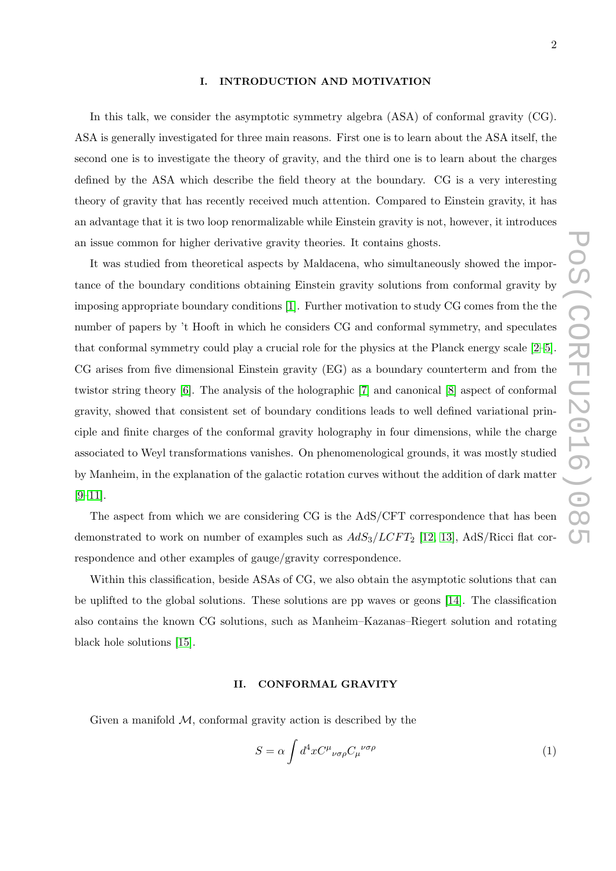### I. INTRODUCTION AND MOTIVATION

In this talk, we consider the asymptotic symmetry algebra (ASA) of conformal gravity (CG). ASA is generally investigated for three main reasons. First one is to learn about the ASA itself, the second one is to investigate the theory of gravity, and the third one is to learn about the charges defined by the ASA which describe the field theory at the boundary. CG is a very interesting theory of gravity that has recently received much attention. Compared to Einstein gravity, it has an advantage that it is two loop renormalizable while Einstein gravity is not, however, it introduces an issue common for higher derivative gravity theories. It contains ghosts.

It was studied from theoretical aspects by Maldacena, who simultaneously showed the importance of the boundary conditions obtaining Einstein gravity solutions from conformal gravity by imposing appropriate boundary conditions [\[1\]](#page-10-0). Further motivation to study CG comes from the the number of papers by 't Hooft in which he considers CG and conformal symmetry, and speculates that conformal symmetry could play a crucial role for the physics at the Planck energy scale [\[2–](#page-10-1)[5\]](#page-10-2). CG arises from five dimensional Einstein gravity (EG) as a boundary counterterm and from the twistor string theory [\[6\]](#page-11-0). The analysis of the holographic [\[7\]](#page-11-1) and canonical [\[8\]](#page-11-2) aspect of conformal gravity, showed that consistent set of boundary conditions leads to well defined variational principle and finite charges of the conformal gravity holography in four dimensions, while the charge associated to Weyl transformations vanishes. On phenomenological grounds, it was mostly studied by Manheim, in the explanation of the galactic rotation curves without the addition of dark matter  $[9-11]$  $[9-11]$ .

The aspect from which we are considering CG is the AdS/CFT correspondence that has been demonstrated to work on number of examples such as  $AdS_3/LCFT_2$  [\[12,](#page-11-5) [13\]](#page-11-6), AdS/Ricci flat correspondence and other examples of gauge/gravity correspondence.

Within this classification, beside ASAs of CG, we also obtain the asymptotic solutions that can be uplifted to the global solutions. These solutions are pp waves or geons [\[14\]](#page-11-7). The classification also contains the known CG solutions, such as Manheim–Kazanas–Riegert solution and rotating black hole solutions [\[15\]](#page-11-8).

## II. CONFORMAL GRAVITY

Given a manifold  $M$ , conformal gravity action is described by the

<span id="page-1-0"></span>
$$
S = \alpha \int d^4x C^{\mu}{}_{\nu\sigma\rho} C_{\mu}{}^{\nu\sigma\rho} \tag{1}
$$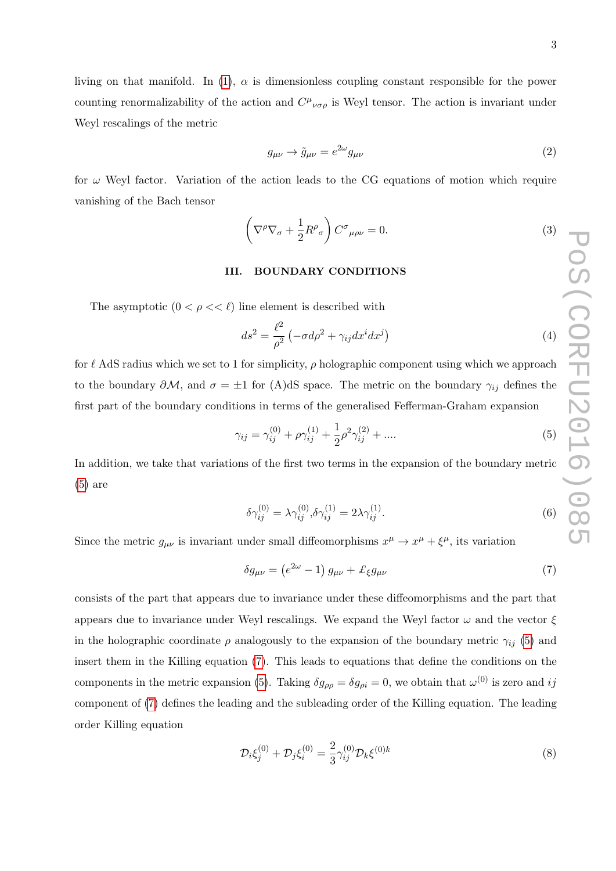living on that manifold. In [\(1\)](#page-1-0),  $\alpha$  is dimensionless coupling constant responsible for the power counting renormalizability of the action and  $C^{\mu}{}_{\nu\sigma\rho}$  is Weyl tensor. The action is invariant under Weyl rescalings of the metric

$$
g_{\mu\nu} \to \tilde{g}_{\mu\nu} = e^{2\omega} g_{\mu\nu} \tag{2}
$$

for  $\omega$  Weyl factor. Variation of the action leads to the CG equations of motion which require vanishing of the Bach tensor

<span id="page-2-2"></span>
$$
\left(\nabla^{\rho}\nabla_{\sigma} + \frac{1}{2}R^{\rho}_{\sigma}\right)C^{\sigma}_{\mu\rho\nu} = 0.
$$
\n(3)

# III. BOUNDARY CONDITIONS

The asymptotic  $(0 < \rho < \ell)$  line element is described with

$$
ds^{2} = \frac{\ell^{2}}{\rho^{2}} \left( -\sigma d\rho^{2} + \gamma_{ij} dx^{i} dx^{j} \right)
$$
\n(4)

for  $\ell$  AdS radius which we set to 1 for simplicity,  $\rho$  holographic component using which we approach to the boundary  $\partial M$ , and  $\sigma = \pm 1$  for (A)dS space. The metric on the boundary  $\gamma_{ij}$  defines the first part of the boundary conditions in terms of the generalised Fefferman-Graham expansion

<span id="page-2-0"></span>
$$
\gamma_{ij} = \gamma_{ij}^{(0)} + \rho \gamma_{ij}^{(1)} + \frac{1}{2} \rho^2 \gamma_{ij}^{(2)} + \dots
$$
\n(5)

In addition, we take that variations of the first two terms in the expansion of the boundary metric [\(5\)](#page-2-0) are

$$
\delta \gamma_{ij}^{(0)} = \lambda \gamma_{ij}^{(0)}, \delta \gamma_{ij}^{(1)} = 2\lambda \gamma_{ij}^{(1)}.
$$
\n
$$
(6)
$$

Since the metric  $g_{\mu\nu}$  is invariant under small diffeomorphisms  $x^{\mu} \to x^{\mu} + \xi^{\mu}$ , its variation

<span id="page-2-1"></span>
$$
\delta g_{\mu\nu} = \left(e^{2\omega} - 1\right)g_{\mu\nu} + \pounds_{\xi}g_{\mu\nu} \tag{7}
$$

consists of the part that appears due to invariance under these diffeomorphisms and the part that appears due to invariance under Weyl rescalings. We expand the Weyl factor  $\omega$  and the vector  $\xi$ in the holographic coordinate  $\rho$  analogously to the expansion of the boundary metric  $\gamma_{ij}$  [\(5\)](#page-2-0) and insert them in the Killing equation [\(7\)](#page-2-1). This leads to equations that define the conditions on the components in the metric expansion [\(5\)](#page-2-0). Taking  $\delta g_{\rho\rho} = \delta g_{\rho i} = 0$ , we obtain that  $\omega^{(0)}$  is zero and ij component of [\(7\)](#page-2-1) defines the leading and the subleading order of the Killing equation. The leading order Killing equation

$$
\mathcal{D}_i \xi_j^{(0)} + \mathcal{D}_j \xi_i^{(0)} = \frac{2}{3} \gamma_{ij}^{(0)} \mathcal{D}_k \xi^{(0)k}
$$
\n(8)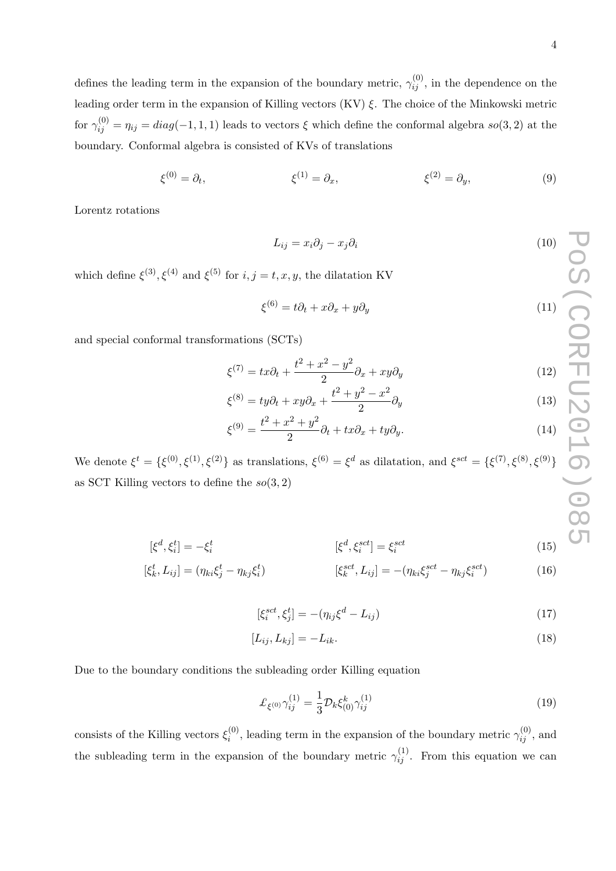$$
\xi^{(0)} = \partial_t, \qquad \xi^{(1)} = \partial_x, \qquad \xi^{(2)} = \partial_y, \qquad (9)
$$

Lorentz rotations

$$
L_{ij} = x_i \partial_j - x_j \partial_i \tag{10}
$$

which define  $\xi^{(3)}$ ,  $\xi^{(4)}$  and  $\xi^{(5)}$  for  $i, j = t, x, y$ , the dilatation KV

$$
\xi^{(6)} = t\partial_t + x\partial_x + y\partial_y \tag{11}
$$

and special conformal transformations (SCTs)

$$
\xi^{(7)} = tx\partial_t + \frac{t^2 + x^2 - y^2}{2}\partial_x + xy\partial_y \tag{12}
$$

$$
\xi^{(8)} = ty\partial_t + xy\partial_x + \frac{t^2 + y^2 - x^2}{2}\partial_y \tag{13}
$$

$$
\xi^{(9)} = \frac{t^2 + x^2 + y^2}{2} \partial_t + tx \partial_x + ty \partial_y.
$$
\n(14)

We denote  $\xi^t = {\xi^{(0)}, \xi^{(1)}, \xi^{(2)}}$  as translations,  $\xi^{(6)} = {\xi^d}$  as dilatation, and  $\xi^{sct} = {\xi^{(7)}, \xi^{(8)}, \xi^{(9)}}$ as SCT Killing vectors to define the  $so(3, 2)$ 

$$
[\xi^d, \xi_i^t] = -\xi_i^t \qquad [\xi^d, \xi_i^{sct}] = \xi_i^{sct} \qquad (15)
$$

$$
[\xi_k^t, L_{ij}] = (\eta_{ki}\xi_j^t - \eta_{kj}\xi_i^t) \qquad [\xi_k^{sct}, L_{ij}] = -(\eta_{ki}\xi_j^{sct} - \eta_{kj}\xi_i^{sct}) \qquad (16)
$$

$$
[\xi_i^{sct}, \xi_j^t] = -(\eta_{ij}\xi^d - L_{ij})\tag{17}
$$

$$
[L_{ij}, L_{kj}] = -L_{ik}.\tag{18}
$$

Due to the boundary conditions the subleading order Killing equation

<span id="page-3-0"></span>
$$
\mathcal{L}_{\xi^{(0)}} \gamma_{ij}^{(1)} = \frac{1}{3} \mathcal{D}_k \xi_{(0)}^k \gamma_{ij}^{(1)} \tag{19}
$$

consists of the Killing vectors  $\xi_i^{(0)}$  $i^{(0)}$ , leading term in the expansion of the boundary metric  $\gamma_{ij}^{(0)}$ , and the subleading term in the expansion of the boundary metric  $\gamma_{ij}^{(1)}$ . From this equation we can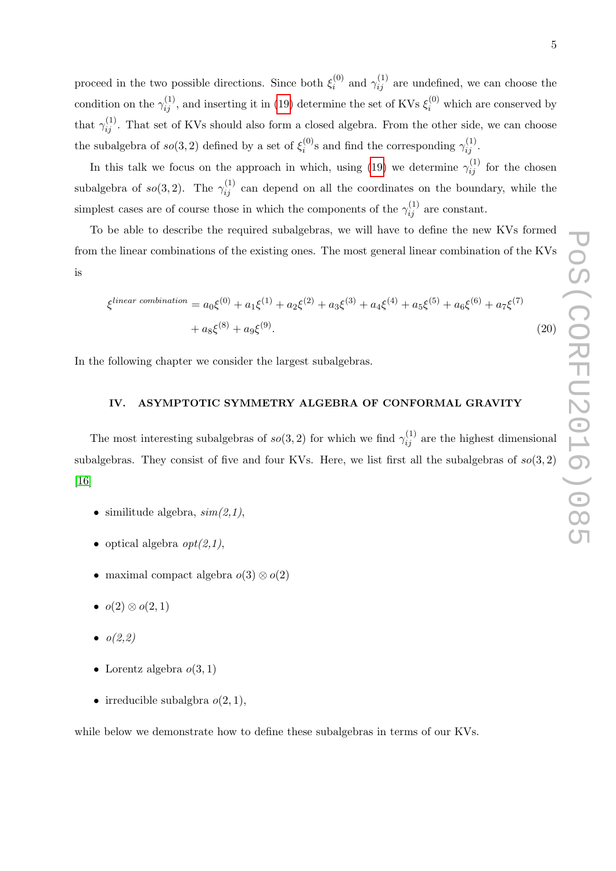In this talk we focus on the approach in which, using [\(19\)](#page-3-0) we determine  $\gamma_{ij}^{(1)}$  for the chosen subalgebra of  $so(3, 2)$ . The  $\gamma_{ij}^{(1)}$  can depend on all the coordinates on the boundary, while the simplest cases are of course those in which the components of the  $\gamma_{ij}^{(1)}$  are constant.

To be able to describe the required subalgebras, we will have to define the new KVs formed from the linear combinations of the existing ones. The most general linear combination of the KVs is

$$
\xi^{linear\ combination} = a_0 \xi^{(0)} + a_1 \xi^{(1)} + a_2 \xi^{(2)} + a_3 \xi^{(3)} + a_4 \xi^{(4)} + a_5 \xi^{(5)} + a_6 \xi^{(6)} + a_7 \xi^{(7)} + a_8 \xi^{(8)} + a_9 \xi^{(9)}.
$$
\n(20)

In the following chapter we consider the largest subalgebras.

# IV. ASYMPTOTIC SYMMETRY ALGEBRA OF CONFORMAL GRAVITY

The most interesting subalgebras of  $so(3, 2)$  for which we find  $\gamma_{ij}^{(1)}$  are the highest dimensional subalgebras. They consist of five and four KVs. Here, we list first all the subalgebras of  $so(3,2)$ [\[16\]](#page-11-9)

- similitude algebra,  $sim(2,1)$ ,
- optical algebra  $\text{opt}(2.1)$ ,
- maximal compact algebra  $o(3) \otimes o(2)$
- $o(2) \otimes o(2, 1)$
- $o(2,2)$
- Lorentz algebra  $o(3, 1)$
- irreducible subalgbra  $o(2, 1)$ ,

while below we demonstrate how to define these subalgebras in terms of our KVs.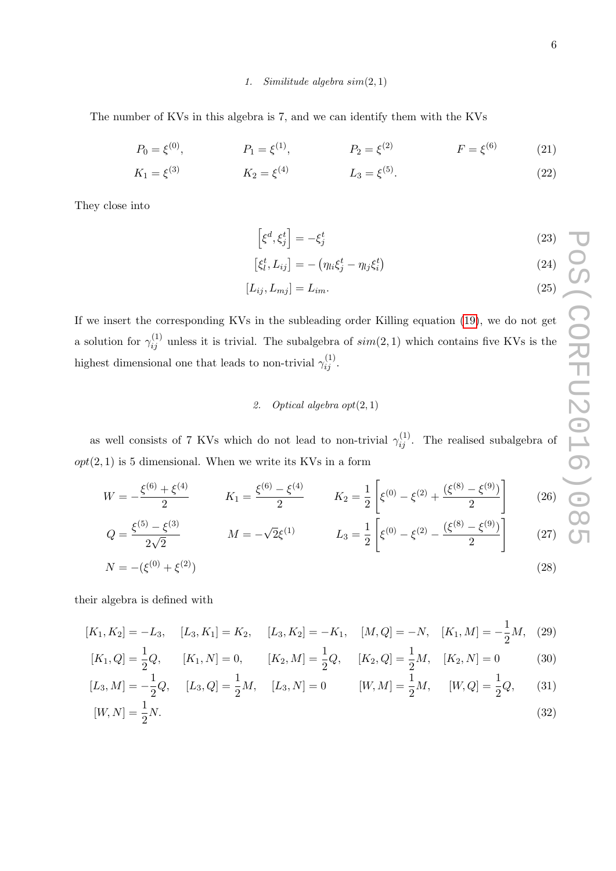### 1. Similitude algebra sim(2, 1)

The number of KVs in this algebra is 7, and we can identify them with the KVs

$$
P_0 = \xi^{(0)}, \qquad P_1 = \xi^{(1)}, \qquad P_2 = \xi^{(2)} \qquad F = \xi^{(6)} \qquad (21)
$$

$$
K_1 = \xi^{(3)} \qquad K_2 = \xi^{(4)} \qquad L_3 = \xi^{(5)}.
$$
 (22)

They close into

$$
\[ \xi^d, \xi^t_j \] = -\xi^t_j \tag{23}
$$

$$
[\xi_l^t, L_{ij}] = -\left(\eta_{li}\xi_j^t - \eta_{lj}\xi_i^t\right) \tag{24}
$$

$$
[L_{ij}, L_{mj}] = L_{im}.\tag{25}
$$

If we insert the corresponding KVs in the subleading order Killing equation [\(19\)](#page-3-0), we do not get a solution for  $\gamma_{ij}^{(1)}$  unless it is trivial. The subalgebra of  $sim(2, 1)$  which contains five KVs is the highest dimensional one that leads to non-trivial  $\gamma_{ij}^{(1)}$ .

# 2. Optical algebra  $opt(2, 1)$

as well consists of 7 KVs which do not lead to non-trivial  $\gamma_{ij}^{(1)}$ . The realised subalgebra of  $opt(2, 1)$  is 5 dimensional. When we write its KVs in a form

$$
W = -\frac{\xi^{(6)} + \xi^{(4)}}{2} \qquad K_1 = \frac{\xi^{(6)} - \xi^{(4)}}{2} \qquad K_2 = \frac{1}{2} \left[ \xi^{(0)} - \xi^{(2)} + \frac{(\xi^{(8)} - \xi^{(9)})}{2} \right] \qquad (26)
$$
  
\n
$$
Q = \frac{\xi^{(5)} - \xi^{(3)}}{2\sqrt{2}} \qquad M = -\sqrt{2}\xi^{(1)} \qquad L_3 = \frac{1}{2} \left[ \xi^{(0)} - \xi^{(2)} - \frac{(\xi^{(8)} - \xi^{(9)})}{2} \right] \qquad (27)
$$
  
\n
$$
N = -(\xi^{(0)} + \xi^{(2)}) \qquad (28)
$$

their algebra is defined with

$$
[K_1, K_2] = -L_3, \quad [L_3, K_1] = K_2, \quad [L_3, K_2] = -K_1, \quad [M, Q] = -N, \quad [K_1, M] = -\frac{1}{2}M, \quad (29)
$$
  
\n
$$
[K_1, Q] = \frac{1}{2}Q, \quad [K_1, N] = 0, \quad [K_2, M] = \frac{1}{2}Q, \quad [K_2, Q] = \frac{1}{2}M, \quad [K_2, N] = 0 \quad (30)
$$
  
\n
$$
[L_3, M] = -\frac{1}{2}Q, \quad [L_3, Q] = \frac{1}{2}M, \quad [L_3, N] = 0 \quad [W, M] = \frac{1}{2}M, \quad [W, Q] = \frac{1}{2}Q, \quad (31)
$$
  
\n
$$
[W, N] = \frac{1}{2}N.
$$
 (32)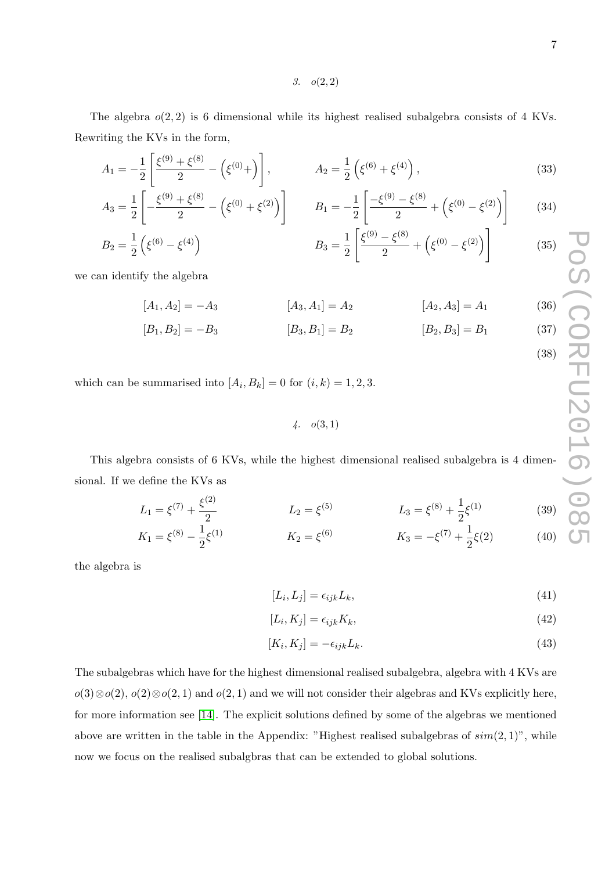(38)

3.  $o(2, 2)$ 

The algebra  $o(2, 2)$  is 6 dimensional while its highest realised subalgebra consists of 4 KVs. Rewriting the KVs in the form,

$$
A_1 = -\frac{1}{2} \left[ \frac{\xi^{(9)} + \xi^{(8)}}{2} - \left( \xi^{(0)} + \right) \right], \qquad A_2 = \frac{1}{2} \left( \xi^{(6)} + \xi^{(4)} \right), \qquad (33)
$$

$$
A_3 = \frac{1}{2} \left[ -\frac{\xi^{(9)} + \xi^{(8)}}{2} - \left( \xi^{(0)} + \xi^{(2)} \right) \right] \qquad B_1 = -\frac{1}{2} \left[ \frac{-\xi^{(9)} - \xi^{(8)}}{2} + \left( \xi^{(0)} - \xi^{(2)} \right) \right] \qquad (34)
$$
  
\n
$$
B_2 = \frac{1}{2} \left( \xi^{(6)} - \xi^{(4)} \right) \qquad B_3 = \frac{1}{2} \left[ \frac{\xi^{(9)} - \xi^{(8)}}{2} + \left( \xi^{(0)} - \xi^{(2)} \right) \right] \qquad (35)
$$

$$
B_3 = \frac{1}{2} \left[ \frac{\xi^{(9)} - \xi^{(8)}}{2} + \left( \xi^{(0)} - \xi^{(2)} \right) \right] \tag{35}
$$

we can identify the algebra

2

 $A_3 =$ 

$$
[A_1, A_2] = -A_3 \qquad [A_3, A_1] = A_2 \qquad [A_2, A_3] = A_1 \qquad (36)
$$

$$
[B_1, B_2] = -B_3 \qquad [B_3, B_1] = B_2 \qquad [B_2, B_3] = B_1 \qquad (37)
$$

which can be summarised into  $[A_i, B_k] = 0$  for  $(i, k) = 1, 2, 3$ .

 $4. \quad o(3,1)$ 

This algebra consists of 6 KVs, while the highest dimensional realised subalgebra is 4 dimensional. If we define the KVs as

$$
L_1 = \xi^{(7)} + \frac{\xi^{(2)}}{2} \qquad L_2 = \xi^{(5)} \qquad L_3 = \xi^{(8)} + \frac{1}{2}\xi^{(1)} \qquad (39)
$$

$$
K_1 = \xi^{(8)} - \frac{1}{2}\xi^{(1)} \qquad K_2 = \xi^{(6)} \qquad K_3 = -\xi^{(7)} + \frac{1}{2}\xi(2) \qquad (40)
$$

the algebra is

$$
[L_i, L_j] = \epsilon_{ijk} L_k,\tag{41}
$$

$$
[L_i, K_j] = \epsilon_{ijk} K_k,\tag{42}
$$

$$
[K_i, K_j] = -\epsilon_{ijk} L_k. \tag{43}
$$

The subalgebras which have for the highest dimensional realised subalgebra, algebra with 4 KVs are  $o(3) \otimes o(2), o(2) \otimes o(2, 1)$  and  $o(2, 1)$  and we will not consider their algebras and KVs explicitly here, for more information see [\[14\]](#page-11-7). The explicit solutions defined by some of the algebras we mentioned above are written in the table in the Appendix: "Highest realised subalgebras of  $sim(2, 1)$ ", while now we focus on the realised subalgbras that can be extended to global solutions.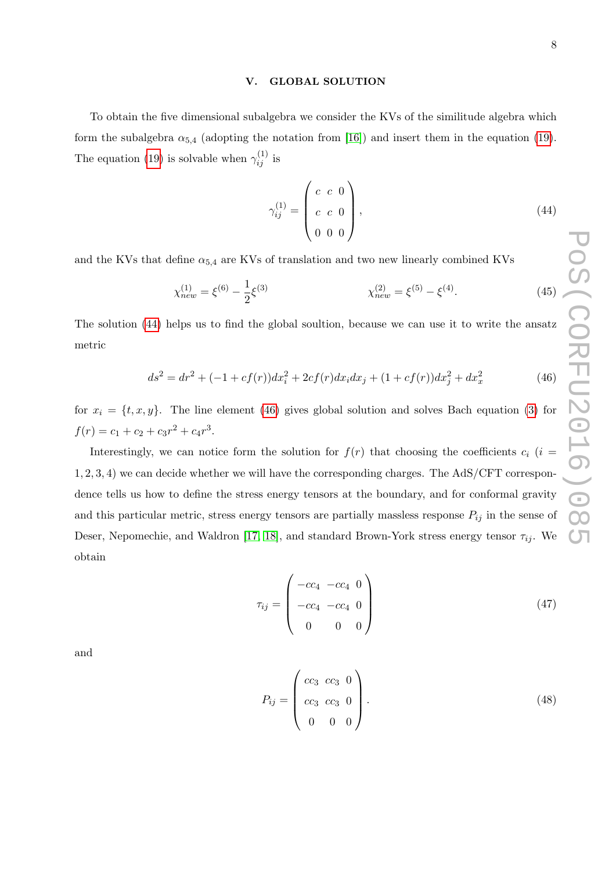### V. GLOBAL SOLUTION

To obtain the five dimensional subalgebra we consider the KVs of the similitude algebra which form the subalgebra  $\alpha_{5,4}$  (adopting the notation from [\[16\]](#page-11-9)) and insert them in the equation [\(19\)](#page-3-0). The equation [\(19\)](#page-3-0) is solvable when  $\gamma_{ij}^{(1)}$  is

<span id="page-7-1"></span><span id="page-7-0"></span>
$$
\gamma_{ij}^{(1)} = \begin{pmatrix} c & c & 0 \\ c & c & 0 \\ 0 & 0 & 0 \end{pmatrix}, \tag{44}
$$

and the KVs that define  $\alpha_{5,4}$  are KVs of translation and two new linearly combined KVs

$$
\chi_{new}^{(1)} = \xi^{(6)} - \frac{1}{2}\xi^{(3)} \qquad \chi_{new}^{(2)} = \xi^{(5)} - \xi^{(4)}.\tag{45}
$$

The solution [\(44\)](#page-7-0) helps us to find the global soultion, because we can use it to write the ansatz metric

$$
ds^{2} = dr^{2} + (-1 + cf(r))dx_{i}^{2} + 2cf(r)dx_{i}dx_{j} + (1 + cf(r))dx_{j}^{2} + dx_{x}^{2}
$$
\n(46)

for  $x_i = \{t, x, y\}$ . The line element [\(46\)](#page-7-1) gives global solution and solves Bach equation [\(3\)](#page-2-2) for  $f(r) = c_1 + c_2 + c_3 r^2 + c_4 r^3.$ 

Interestingly, we can notice form the solution for  $f(r)$  that choosing the coefficients  $c_i$  (i = 1, 2, 3, 4) we can decide whether we will have the corresponding charges. The AdS/CFT correspondence tells us how to define the stress energy tensors at the boundary, and for conformal gravity and this particular metric, stress energy tensors are partially massless response  $P_{ij}$  in the sense of Deser, Nepomechie, and Waldron [\[17,](#page-11-10) [18\]](#page-11-11), and standard Brown-York stress energy tensor  $\tau_{ij}$ . We obtain

$$
\tau_{ij} = \begin{pmatrix} -cc_4 & -cc_4 & 0 \\ -cc_4 & -cc_4 & 0 \\ 0 & 0 & 0 \end{pmatrix}
$$
\n(47)

and

$$
P_{ij} = \begin{pmatrix} cc_3 & cc_3 & 0 \\ cc_3 & cc_3 & 0 \\ 0 & 0 & 0 \end{pmatrix}.
$$
 (48)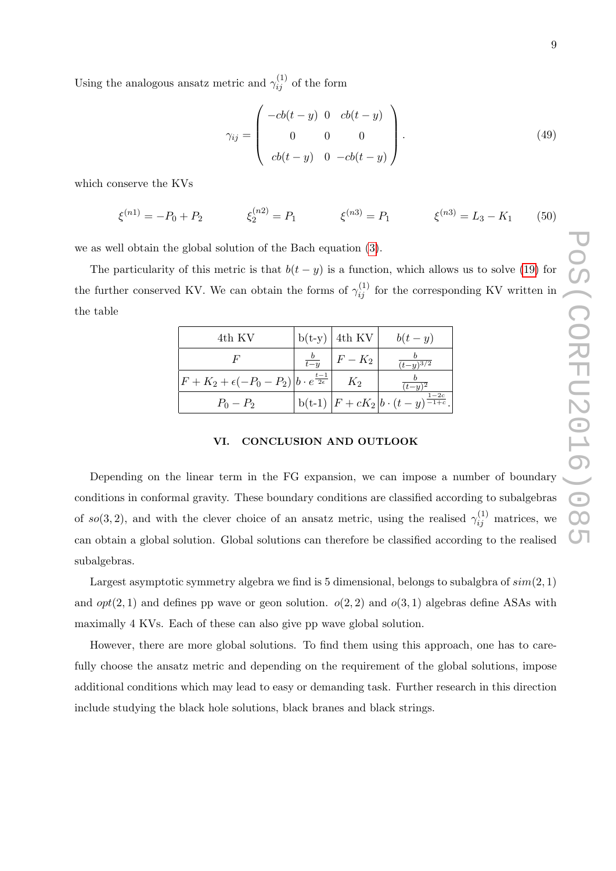Using the analogous ansatz metric and  $\gamma_{ij}^{(1)}$  of the form

$$
\gamma_{ij} = \begin{pmatrix} -cb(t-y) & 0 & cb(t-y) \\ 0 & 0 & 0 \\ cb(t-y) & 0 & -cb(t-y) \end{pmatrix}.
$$
 (49)

which conserve the KVs

$$
\xi^{(n1)} = -P_0 + P_2 \qquad \xi_2^{(n2)} = P_1 \qquad \xi^{(n3)} = P_1 \qquad \xi^{(n3)} = L_3 - K_1 \qquad (50)
$$

we as well obtain the global solution of the Bach equation [\(3\)](#page-2-2).

The particularity of this metric is that  $b(t - y)$  is a function, which allows us to solve [\(19\)](#page-3-0) for the further conserved KV. We can obtain the forms of  $\gamma_{ij}^{(1)}$  for the corresponding KV written in the table

| 4th KV                                                                         |               | $b(t-y)$ 4th KV | $b(t-y)$                                                 |
|--------------------------------------------------------------------------------|---------------|-----------------|----------------------------------------------------------|
|                                                                                | $rac{b}{t-u}$ | $F-K_2$         | $\overline{(t-y)^{3/2}}$                                 |
| $\left F+K_2+\epsilon(-P_0-P_2)\right b\cdot e^{\frac{t-1}{2\epsilon}}\right $ |               | $K_2$           | $(t-u)^2$                                                |
| $P_0 - P_2$                                                                    |               |                 | b(t-1) $ F + cK_2 b \cdot (t - y)^{\frac{1-2c}{-1+c}}$ . |

# VI. CONCLUSION AND OUTLOOK

Depending on the linear term in the FG expansion, we can impose a number of boundary conditions in conformal gravity. These boundary conditions are classified according to subalgebras of so(3, 2), and with the clever choice of an ansatz metric, using the realised  $\gamma_{ij}^{(1)}$  matrices, we can obtain a global solution. Global solutions can therefore be classified according to the realised subalgebras.

Largest asymptotic symmetry algebra we find is 5 dimensional, belongs to subalgbra of  $sim(2, 1)$ and  $opt(2, 1)$  and defines pp wave or geon solution.  $o(2, 2)$  and  $o(3, 1)$  algebras define ASAs with maximally 4 KVs. Each of these can also give pp wave global solution.

However, there are more global solutions. To find them using this approach, one has to carefully choose the ansatz metric and depending on the requirement of the global solutions, impose additional conditions which may lead to easy or demanding task. Further research in this direction include studying the black hole solutions, black branes and black strings.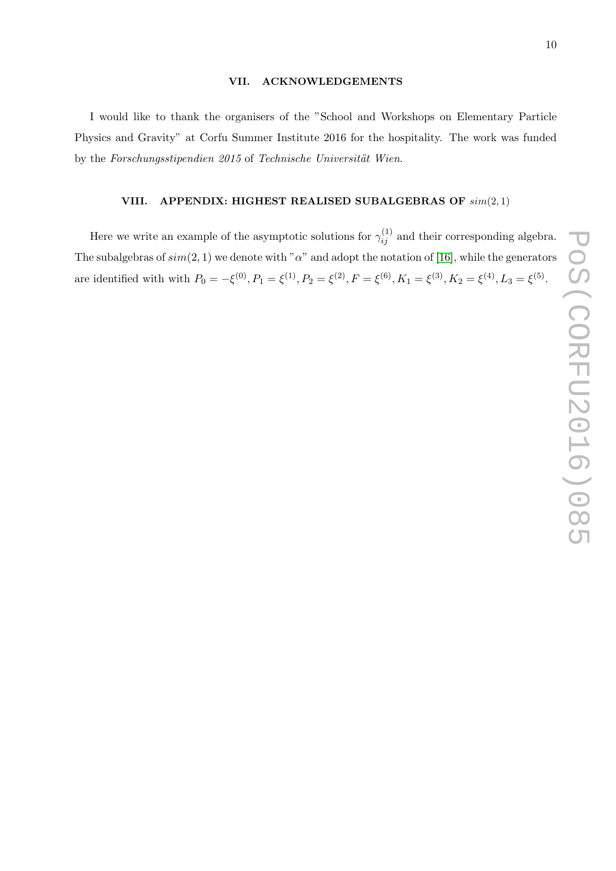# POS(CORFU2016)085 PoS(CORFU2016)085

## VII. ACKNOWLEDGEMENTS

I would like to thank the organisers of the "School and Workshops on Elementary Particle Physics and Gravity" at Corfu Summer Institute 2016 for the hospitality. The work was funded by the Forschungsstipendien 2015 of Technische Universität Wien.

# VIII. APPENDIX: HIGHEST REALISED SUBALGEBRAS OF  $sim(2, 1)$

Here we write an example of the asymptotic solutions for  $\gamma_{ij}^{(1)}$  and their corresponding algebra. The subalgebras of  $sim(2, 1)$  we denote with " $\alpha$ " and adopt the notation of [\[16\]](#page-11-9), while the generators are identified with with  $P_0 = -\xi^{(0)}$ ,  $P_1 = \xi^{(1)}$ ,  $P_2 = \xi^{(2)}$ ,  $F = \xi^{(6)}$ ,  $K_1 = \xi^{(3)}$ ,  $K_2 = \xi^{(4)}$ ,  $L_3 = \xi^{(5)}$ .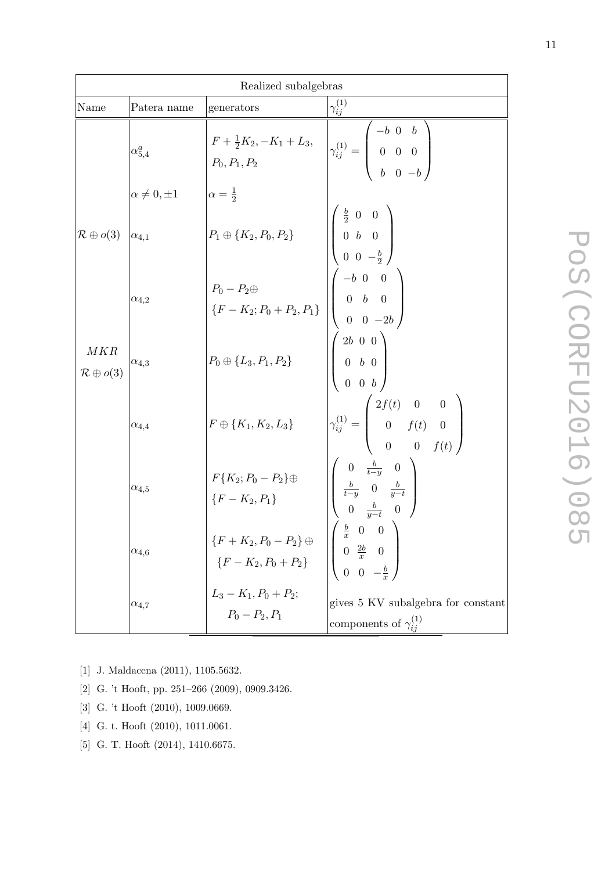| Realized subalgebras             |                        |                                                                                                                                                                                                                                                   |                                                                                                                                                        |  |
|----------------------------------|------------------------|---------------------------------------------------------------------------------------------------------------------------------------------------------------------------------------------------------------------------------------------------|--------------------------------------------------------------------------------------------------------------------------------------------------------|--|
| Name                             | Patera name            | generators                                                                                                                                                                                                                                        | $\gamma_{ij}^{(1)}$                                                                                                                                    |  |
|                                  | $\alpha_{5,4}^a$       | $F + \frac{1}{2}K_2, -K_1 + L_3,$ $P_0, P_1, P_2$ $\begin{pmatrix} -b & 0 & b \\ 0 & 0 & 0 \\ b & 0 & -b \end{pmatrix}$                                                                                                                           |                                                                                                                                                        |  |
|                                  | $\alpha \neq 0, \pm 1$ | $\alpha = \frac{1}{2}$                                                                                                                                                                                                                            |                                                                                                                                                        |  |
| $\mathcal{R} \oplus o(3)$        | $\alpha_{4,1}$         | $P_1 \oplus \{K_2, P_0, P_2\}$                                                                                                                                                                                                                    | $\left(\begin{array}{ccc} \frac{b}{2} & 0 & 0 \ 0 & b & 0 \ 0 & 0 & -\frac{b}{2} \end{array}\right)$                                                   |  |
|                                  | $\alpha_{4,2}$         | $\begin{array}{ c c } \hline & & & & & 2 \ / \ \hline & & & & \\ \hline \{F-K_2; P_0+P_2,P_1\} & & 0 & b & 0 \\ \hline & & 0 & 0 & -2b \end{array}$                                                                                               |                                                                                                                                                        |  |
| MKR<br>$\mathcal{R} \oplus o(3)$ | $\alpha_{4,3}$         | $P_0 \oplus \{L_3, P_1, P_2\}$                                                                                                                                                                                                                    | $\left(\begin{array}{ccc} 2b & 0 & 0 \ 0 & b & 0 \end{array}\right)$                                                                                   |  |
|                                  | $\alpha_{4,4}$         | $F \oplus \{K_1, K_2, L_3\}$                                                                                                                                                                                                                      | $\begin{pmatrix} x_1 \\ y_{ij}^{(1)} = \begin{pmatrix} 2f(t) & 0 & 0 \\ 0 & f(t) & 0 \\ 0 & 0 & f(t) \end{pmatrix} \end{pmatrix}$                      |  |
|                                  | $\alpha_{4,5}$         | $F\{K_2; P_0 - P_2\} \oplus$<br>{ $F - K_2, P_1$ }                                                                                                                                                                                                | $\begin{array}{c} \left(\begin{array}{ccc} 0& \frac{b}{t-y}& 0\\ \frac{b}{t-y}& 0& \frac{b}{y-t}\\ 0& \frac{b}{y-t}& 0 \end{array}\right) \end{array}$ |  |
|                                  | $\alpha_{4,6}$         | $\begin{cases} \{F + K_2, P_0 - P_2\} \oplus \{F - K_2, P_0 + P_2\} \end{cases}$ $\begin{bmatrix} \frac{x}{x} & 0 & 0 \\ 0 & \frac{2b}{x} & 0 \\ 0 & 0 & -\frac{b}{x} \end{bmatrix}$<br>$L_3 - K_1, P_0 + P_2;$ gives 5 KV su<br>$P_0 - P_2, P_1$ | $\left \int \frac{b}{x} 0 \ 0\right  \right $                                                                                                          |  |
|                                  | $\alpha_{4,7}$         |                                                                                                                                                                                                                                                   | gives 5 KV subalgebra for constant<br>components of $\gamma_{ij}^{(1)}$                                                                                |  |

- <span id="page-10-1"></span><span id="page-10-0"></span>[1] J. Maldacena (2011), 1105.5632.
- [2] G. 't Hooft, pp. 251–266 (2009), 0909.3426.
- [3] G. 't Hooft (2010), 1009.0669.
- <span id="page-10-2"></span>[4] G. t. Hooft (2010), 1011.0061.
- [5] G. T. Hooft (2014), 1410.6675.